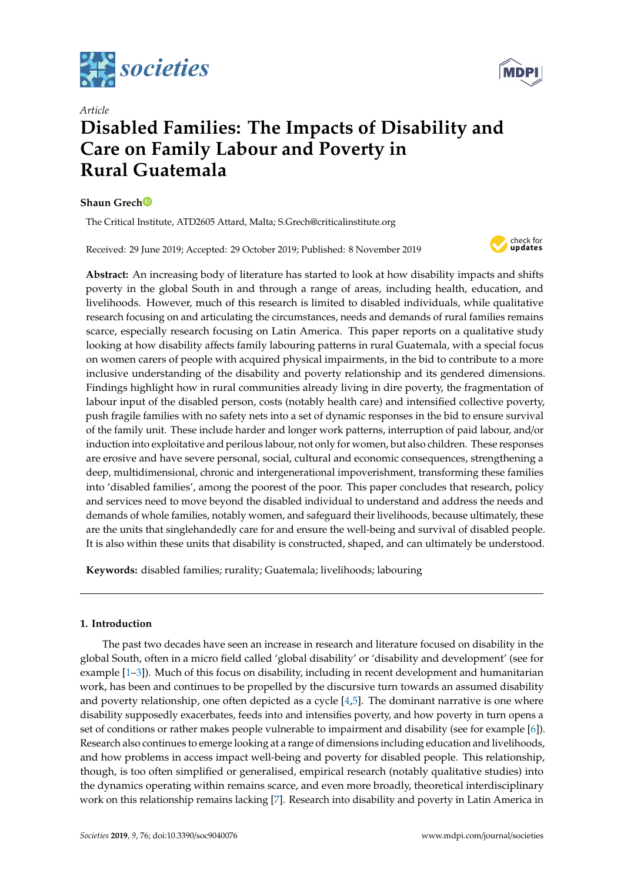



# **Disabled Families: The Impacts of Disability and Care on Family Labour and Poverty in Rural Guatemala**

# **Shaun Grec[h](https://orcid.org/0000-0002-6419-9827)**

*Article*

The Critical Institute, ATD2605 Attard, Malta; S.Grech@criticalinstitute.org

Received: 29 June 2019; Accepted: 29 October 2019; Published: 8 November 2019



**Abstract:** An increasing body of literature has started to look at how disability impacts and shifts poverty in the global South in and through a range of areas, including health, education, and livelihoods. However, much of this research is limited to disabled individuals, while qualitative research focusing on and articulating the circumstances, needs and demands of rural families remains scarce, especially research focusing on Latin America. This paper reports on a qualitative study looking at how disability affects family labouring patterns in rural Guatemala, with a special focus on women carers of people with acquired physical impairments, in the bid to contribute to a more inclusive understanding of the disability and poverty relationship and its gendered dimensions. Findings highlight how in rural communities already living in dire poverty, the fragmentation of labour input of the disabled person, costs (notably health care) and intensified collective poverty, push fragile families with no safety nets into a set of dynamic responses in the bid to ensure survival of the family unit. These include harder and longer work patterns, interruption of paid labour, and/or induction into exploitative and perilous labour, not only for women, but also children. These responses are erosive and have severe personal, social, cultural and economic consequences, strengthening a deep, multidimensional, chronic and intergenerational impoverishment, transforming these families into 'disabled families', among the poorest of the poor. This paper concludes that research, policy and services need to move beyond the disabled individual to understand and address the needs and demands of whole families, notably women, and safeguard their livelihoods, because ultimately, these are the units that singlehandedly care for and ensure the well-being and survival of disabled people. It is also within these units that disability is constructed, shaped, and can ultimately be understood.

**Keywords:** disabled families; rurality; Guatemala; livelihoods; labouring

## **1. Introduction**

The past two decades have seen an increase in research and literature focused on disability in the global South, often in a micro field called 'global disability' or 'disability and development' (see for example [\[1](#page-13-0)[–3\]](#page-13-1)). Much of this focus on disability, including in recent development and humanitarian work, has been and continues to be propelled by the discursive turn towards an assumed disability and poverty relationship, one often depicted as a cycle [\[4](#page-13-2)[,5\]](#page-13-3). The dominant narrative is one where disability supposedly exacerbates, feeds into and intensifies poverty, and how poverty in turn opens a set of conditions or rather makes people vulnerable to impairment and disability (see for example [\[6\]](#page-13-4)). Research also continues to emerge looking at a range of dimensions including education and livelihoods, and how problems in access impact well-being and poverty for disabled people. This relationship, though, is too often simplified or generalised, empirical research (notably qualitative studies) into the dynamics operating within remains scarce, and even more broadly, theoretical interdisciplinary work on this relationship remains lacking [\[7\]](#page-13-5). Research into disability and poverty in Latin America in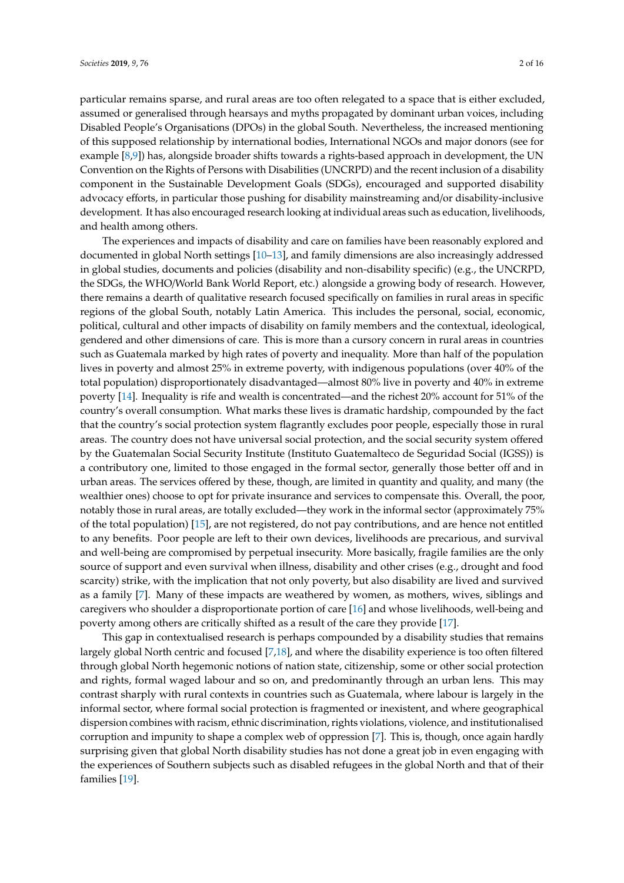particular remains sparse, and rural areas are too often relegated to a space that is either excluded, assumed or generalised through hearsays and myths propagated by dominant urban voices, including Disabled People's Organisations (DPOs) in the global South. Nevertheless, the increased mentioning of this supposed relationship by international bodies, International NGOs and major donors (see for example [\[8,](#page-13-6)[9\]](#page-13-7)) has, alongside broader shifts towards a rights-based approach in development, the UN Convention on the Rights of Persons with Disabilities (UNCRPD) and the recent inclusion of a disability component in the Sustainable Development Goals (SDGs), encouraged and supported disability advocacy efforts, in particular those pushing for disability mainstreaming and/or disability-inclusive development. It has also encouraged research looking at individual areas such as education, livelihoods, and health among others.

The experiences and impacts of disability and care on families have been reasonably explored and documented in global North settings [\[10](#page-13-8)[–13\]](#page-13-9), and family dimensions are also increasingly addressed in global studies, documents and policies (disability and non-disability specific) (e.g., the UNCRPD, the SDGs, the WHO/World Bank World Report, etc.) alongside a growing body of research. However, there remains a dearth of qualitative research focused specifically on families in rural areas in specific regions of the global South, notably Latin America. This includes the personal, social, economic, political, cultural and other impacts of disability on family members and the contextual, ideological, gendered and other dimensions of care. This is more than a cursory concern in rural areas in countries such as Guatemala marked by high rates of poverty and inequality. More than half of the population lives in poverty and almost 25% in extreme poverty, with indigenous populations (over 40% of the total population) disproportionately disadvantaged—almost 80% live in poverty and 40% in extreme poverty [\[14\]](#page-13-10). Inequality is rife and wealth is concentrated—and the richest 20% account for 51% of the country's overall consumption. What marks these lives is dramatic hardship, compounded by the fact that the country's social protection system flagrantly excludes poor people, especially those in rural areas. The country does not have universal social protection, and the social security system offered by the Guatemalan Social Security Institute (Instituto Guatemalteco de Seguridad Social (IGSS)) is a contributory one, limited to those engaged in the formal sector, generally those better off and in urban areas. The services offered by these, though, are limited in quantity and quality, and many (the wealthier ones) choose to opt for private insurance and services to compensate this. Overall, the poor, notably those in rural areas, are totally excluded—they work in the informal sector (approximately 75% of the total population) [\[15\]](#page-13-11), are not registered, do not pay contributions, and are hence not entitled to any benefits. Poor people are left to their own devices, livelihoods are precarious, and survival and well-being are compromised by perpetual insecurity. More basically, fragile families are the only source of support and even survival when illness, disability and other crises (e.g., drought and food scarcity) strike, with the implication that not only poverty, but also disability are lived and survived as a family [\[7\]](#page-13-5). Many of these impacts are weathered by women, as mothers, wives, siblings and caregivers who shoulder a disproportionate portion of care [\[16\]](#page-13-12) and whose livelihoods, well-being and poverty among others are critically shifted as a result of the care they provide [\[17\]](#page-13-13).

This gap in contextualised research is perhaps compounded by a disability studies that remains largely global North centric and focused [\[7,](#page-13-5)[18\]](#page-14-0), and where the disability experience is too often filtered through global North hegemonic notions of nation state, citizenship, some or other social protection and rights, formal waged labour and so on, and predominantly through an urban lens. This may contrast sharply with rural contexts in countries such as Guatemala, where labour is largely in the informal sector, where formal social protection is fragmented or inexistent, and where geographical dispersion combines with racism, ethnic discrimination, rights violations, violence, and institutionalised corruption and impunity to shape a complex web of oppression [\[7\]](#page-13-5). This is, though, once again hardly surprising given that global North disability studies has not done a great job in even engaging with the experiences of Southern subjects such as disabled refugees in the global North and that of their families [\[19\]](#page-14-1).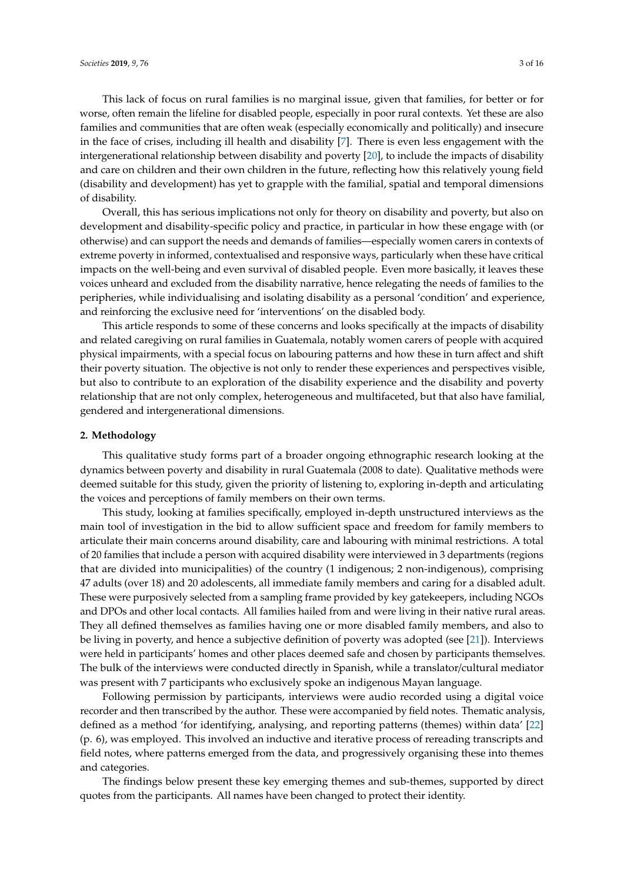This lack of focus on rural families is no marginal issue, given that families, for better or for worse, often remain the lifeline for disabled people, especially in poor rural contexts. Yet these are also families and communities that are often weak (especially economically and politically) and insecure in the face of crises, including ill health and disability [\[7\]](#page-13-5). There is even less engagement with the intergenerational relationship between disability and poverty [\[20\]](#page-14-2), to include the impacts of disability and care on children and their own children in the future, reflecting how this relatively young field (disability and development) has yet to grapple with the familial, spatial and temporal dimensions of disability.

Overall, this has serious implications not only for theory on disability and poverty, but also on development and disability-specific policy and practice, in particular in how these engage with (or otherwise) and can support the needs and demands of families—especially women carers in contexts of extreme poverty in informed, contextualised and responsive ways, particularly when these have critical impacts on the well-being and even survival of disabled people. Even more basically, it leaves these voices unheard and excluded from the disability narrative, hence relegating the needs of families to the peripheries, while individualising and isolating disability as a personal 'condition' and experience, and reinforcing the exclusive need for 'interventions' on the disabled body.

This article responds to some of these concerns and looks specifically at the impacts of disability and related caregiving on rural families in Guatemala, notably women carers of people with acquired physical impairments, with a special focus on labouring patterns and how these in turn affect and shift their poverty situation. The objective is not only to render these experiences and perspectives visible, but also to contribute to an exploration of the disability experience and the disability and poverty relationship that are not only complex, heterogeneous and multifaceted, but that also have familial, gendered and intergenerational dimensions.

### **2. Methodology**

This qualitative study forms part of a broader ongoing ethnographic research looking at the dynamics between poverty and disability in rural Guatemala (2008 to date). Qualitative methods were deemed suitable for this study, given the priority of listening to, exploring in-depth and articulating the voices and perceptions of family members on their own terms.

This study, looking at families specifically, employed in-depth unstructured interviews as the main tool of investigation in the bid to allow sufficient space and freedom for family members to articulate their main concerns around disability, care and labouring with minimal restrictions. A total of 20 families that include a person with acquired disability were interviewed in 3 departments (regions that are divided into municipalities) of the country (1 indigenous; 2 non-indigenous), comprising 47 adults (over 18) and 20 adolescents, all immediate family members and caring for a disabled adult. These were purposively selected from a sampling frame provided by key gatekeepers, including NGOs and DPOs and other local contacts. All families hailed from and were living in their native rural areas. They all defined themselves as families having one or more disabled family members, and also to be living in poverty, and hence a subjective definition of poverty was adopted (see [\[21\]](#page-14-3)). Interviews were held in participants' homes and other places deemed safe and chosen by participants themselves. The bulk of the interviews were conducted directly in Spanish, while a translator/cultural mediator was present with 7 participants who exclusively spoke an indigenous Mayan language.

Following permission by participants, interviews were audio recorded using a digital voice recorder and then transcribed by the author. These were accompanied by field notes. Thematic analysis, defined as a method 'for identifying, analysing, and reporting patterns (themes) within data' [\[22\]](#page-14-4) (p. 6), was employed. This involved an inductive and iterative process of rereading transcripts and field notes, where patterns emerged from the data, and progressively organising these into themes and categories.

The findings below present these key emerging themes and sub-themes, supported by direct quotes from the participants. All names have been changed to protect their identity.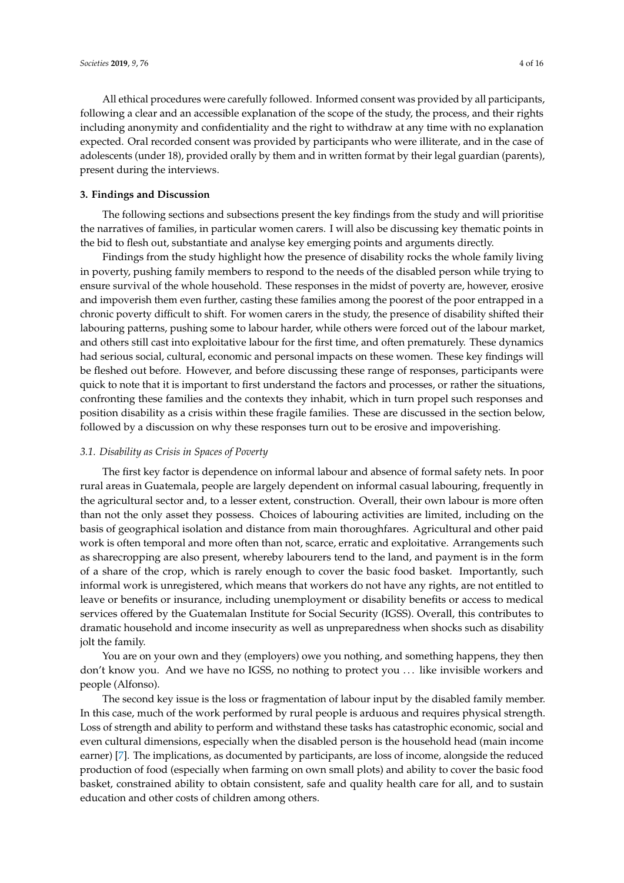All ethical procedures were carefully followed. Informed consent was provided by all participants, following a clear and an accessible explanation of the scope of the study, the process, and their rights including anonymity and confidentiality and the right to withdraw at any time with no explanation expected. Oral recorded consent was provided by participants who were illiterate, and in the case of adolescents (under 18), provided orally by them and in written format by their legal guardian (parents), present during the interviews.

## **3. Findings and Discussion**

The following sections and subsections present the key findings from the study and will prioritise the narratives of families, in particular women carers. I will also be discussing key thematic points in the bid to flesh out, substantiate and analyse key emerging points and arguments directly.

Findings from the study highlight how the presence of disability rocks the whole family living in poverty, pushing family members to respond to the needs of the disabled person while trying to ensure survival of the whole household. These responses in the midst of poverty are, however, erosive and impoverish them even further, casting these families among the poorest of the poor entrapped in a chronic poverty difficult to shift. For women carers in the study, the presence of disability shifted their labouring patterns, pushing some to labour harder, while others were forced out of the labour market, and others still cast into exploitative labour for the first time, and often prematurely. These dynamics had serious social, cultural, economic and personal impacts on these women. These key findings will be fleshed out before. However, and before discussing these range of responses, participants were quick to note that it is important to first understand the factors and processes, or rather the situations, confronting these families and the contexts they inhabit, which in turn propel such responses and position disability as a crisis within these fragile families. These are discussed in the section below, followed by a discussion on why these responses turn out to be erosive and impoverishing.

## *3.1. Disability as Crisis in Spaces of Poverty*

The first key factor is dependence on informal labour and absence of formal safety nets. In poor rural areas in Guatemala, people are largely dependent on informal casual labouring, frequently in the agricultural sector and, to a lesser extent, construction. Overall, their own labour is more often than not the only asset they possess. Choices of labouring activities are limited, including on the basis of geographical isolation and distance from main thoroughfares. Agricultural and other paid work is often temporal and more often than not, scarce, erratic and exploitative. Arrangements such as sharecropping are also present, whereby labourers tend to the land, and payment is in the form of a share of the crop, which is rarely enough to cover the basic food basket. Importantly, such informal work is unregistered, which means that workers do not have any rights, are not entitled to leave or benefits or insurance, including unemployment or disability benefits or access to medical services offered by the Guatemalan Institute for Social Security (IGSS). Overall, this contributes to dramatic household and income insecurity as well as unpreparedness when shocks such as disability jolt the family.

You are on your own and they (employers) owe you nothing, and something happens, they then don't know you. And we have no IGSS, no nothing to protect you . . . like invisible workers and people (Alfonso).

The second key issue is the loss or fragmentation of labour input by the disabled family member. In this case, much of the work performed by rural people is arduous and requires physical strength. Loss of strength and ability to perform and withstand these tasks has catastrophic economic, social and even cultural dimensions, especially when the disabled person is the household head (main income earner) [\[7\]](#page-13-5). The implications, as documented by participants, are loss of income, alongside the reduced production of food (especially when farming on own small plots) and ability to cover the basic food basket, constrained ability to obtain consistent, safe and quality health care for all, and to sustain education and other costs of children among others.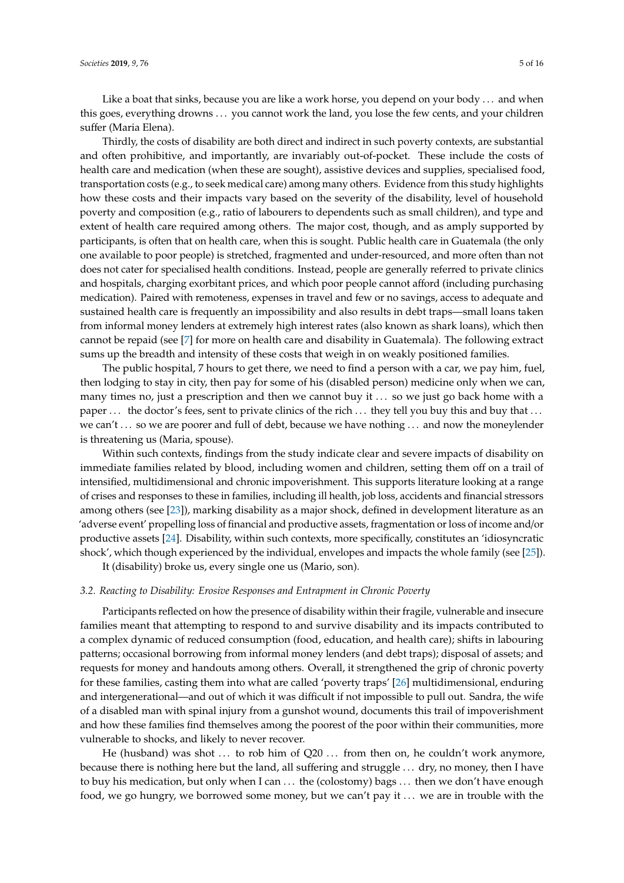Like a boat that sinks, because you are like a work horse, you depend on your body . . . and when this goes, everything drowns . . . you cannot work the land, you lose the few cents, and your children suffer (Maria Elena).

Thirdly, the costs of disability are both direct and indirect in such poverty contexts, are substantial and often prohibitive, and importantly, are invariably out-of-pocket. These include the costs of health care and medication (when these are sought), assistive devices and supplies, specialised food, transportation costs (e.g., to seek medical care) among many others. Evidence from this study highlights how these costs and their impacts vary based on the severity of the disability, level of household poverty and composition (e.g., ratio of labourers to dependents such as small children), and type and extent of health care required among others. The major cost, though, and as amply supported by participants, is often that on health care, when this is sought. Public health care in Guatemala (the only one available to poor people) is stretched, fragmented and under-resourced, and more often than not does not cater for specialised health conditions. Instead, people are generally referred to private clinics and hospitals, charging exorbitant prices, and which poor people cannot afford (including purchasing medication). Paired with remoteness, expenses in travel and few or no savings, access to adequate and sustained health care is frequently an impossibility and also results in debt traps—small loans taken from informal money lenders at extremely high interest rates (also known as shark loans), which then cannot be repaid (see [\[7\]](#page-13-5) for more on health care and disability in Guatemala). The following extract sums up the breadth and intensity of these costs that weigh in on weakly positioned families.

The public hospital, 7 hours to get there, we need to find a person with a car, we pay him, fuel, then lodging to stay in city, then pay for some of his (disabled person) medicine only when we can, many times no, just a prescription and then we cannot buy it . . . so we just go back home with a paper . . . the doctor's fees, sent to private clinics of the rich . . . they tell you buy this and buy that . . . we can't ... so we are poorer and full of debt, because we have nothing ... and now the moneylender is threatening us (Maria, spouse).

Within such contexts, findings from the study indicate clear and severe impacts of disability on immediate families related by blood, including women and children, setting them off on a trail of intensified, multidimensional and chronic impoverishment. This supports literature looking at a range of crises and responses to these in families, including ill health, job loss, accidents and financial stressors among others (see [\[23\]](#page-14-5)), marking disability as a major shock, defined in development literature as an 'adverse event' propelling loss of financial and productive assets, fragmentation or loss of income and/or productive assets [\[24\]](#page-14-6). Disability, within such contexts, more specifically, constitutes an 'idiosyncratic shock', which though experienced by the individual, envelopes and impacts the whole family (see [\[25\]](#page-14-7)).

It (disability) broke us, every single one us (Mario, son).

## *3.2. Reacting to Disability: Erosive Responses and Entrapment in Chronic Poverty*

Participants reflected on how the presence of disability within their fragile, vulnerable and insecure families meant that attempting to respond to and survive disability and its impacts contributed to a complex dynamic of reduced consumption (food, education, and health care); shifts in labouring patterns; occasional borrowing from informal money lenders (and debt traps); disposal of assets; and requests for money and handouts among others. Overall, it strengthened the grip of chronic poverty for these families, casting them into what are called 'poverty traps' [\[26\]](#page-14-8) multidimensional, enduring and intergenerational—and out of which it was difficult if not impossible to pull out. Sandra, the wife of a disabled man with spinal injury from a gunshot wound, documents this trail of impoverishment and how these families find themselves among the poorest of the poor within their communities, more vulnerable to shocks, and likely to never recover.

He (husband) was shot  $\dots$  to rob him of Q20  $\dots$  from then on, he couldn't work anymore, because there is nothing here but the land, all suffering and struggle . . . dry, no money, then I have to buy his medication, but only when I can . . . the (colostomy) bags . . . then we don't have enough food, we go hungry, we borrowed some money, but we can't pay it ... we are in trouble with the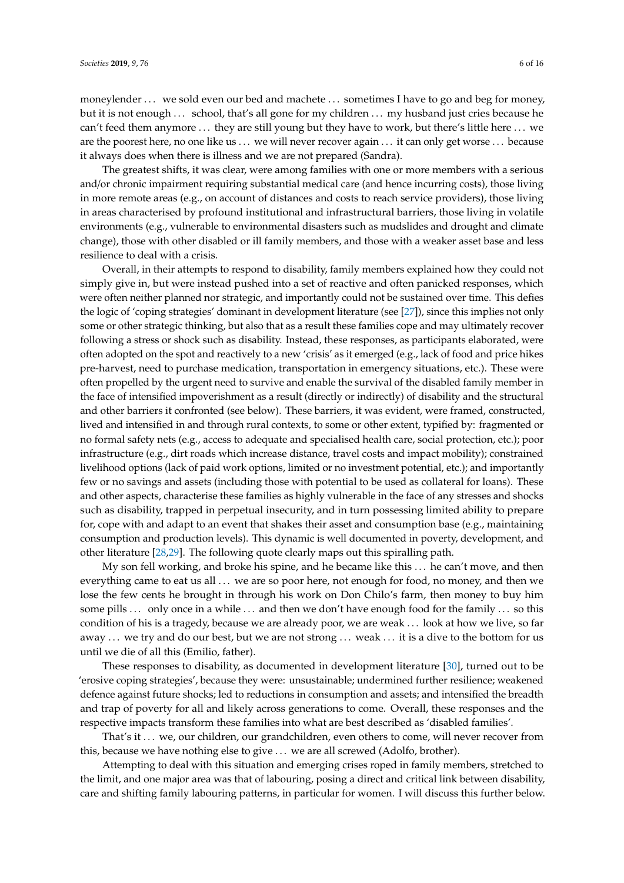moneylender ... we sold even our bed and machete ... sometimes I have to go and beg for money, but it is not enough . . . school, that's all gone for my children . . . my husband just cries because he can't feed them anymore . . . they are still young but they have to work, but there's little here . . . we are the poorest here, no one like us ... we will never recover again ... it can only get worse ... because it always does when there is illness and we are not prepared (Sandra).

The greatest shifts, it was clear, were among families with one or more members with a serious and/or chronic impairment requiring substantial medical care (and hence incurring costs), those living in more remote areas (e.g., on account of distances and costs to reach service providers), those living in areas characterised by profound institutional and infrastructural barriers, those living in volatile environments (e.g., vulnerable to environmental disasters such as mudslides and drought and climate change), those with other disabled or ill family members, and those with a weaker asset base and less resilience to deal with a crisis.

Overall, in their attempts to respond to disability, family members explained how they could not simply give in, but were instead pushed into a set of reactive and often panicked responses, which were often neither planned nor strategic, and importantly could not be sustained over time. This defies the logic of 'coping strategies' dominant in development literature (see [\[27\]](#page-14-9)), since this implies not only some or other strategic thinking, but also that as a result these families cope and may ultimately recover following a stress or shock such as disability. Instead, these responses, as participants elaborated, were often adopted on the spot and reactively to a new 'crisis' as it emerged (e.g., lack of food and price hikes pre-harvest, need to purchase medication, transportation in emergency situations, etc.). These were often propelled by the urgent need to survive and enable the survival of the disabled family member in the face of intensified impoverishment as a result (directly or indirectly) of disability and the structural and other barriers it confronted (see below). These barriers, it was evident, were framed, constructed, lived and intensified in and through rural contexts, to some or other extent, typified by: fragmented or no formal safety nets (e.g., access to adequate and specialised health care, social protection, etc.); poor infrastructure (e.g., dirt roads which increase distance, travel costs and impact mobility); constrained livelihood options (lack of paid work options, limited or no investment potential, etc.); and importantly few or no savings and assets (including those with potential to be used as collateral for loans). These and other aspects, characterise these families as highly vulnerable in the face of any stresses and shocks such as disability, trapped in perpetual insecurity, and in turn possessing limited ability to prepare for, cope with and adapt to an event that shakes their asset and consumption base (e.g., maintaining consumption and production levels). This dynamic is well documented in poverty, development, and other literature [\[28,](#page-14-10)[29\]](#page-14-11). The following quote clearly maps out this spiralling path.

My son fell working, and broke his spine, and he became like this ... he can't move, and then everything came to eat us all ... we are so poor here, not enough for food, no money, and then we lose the few cents he brought in through his work on Don Chilo's farm, then money to buy him some pills ... only once in a while ... and then we don't have enough food for the family ... so this condition of his is a tragedy, because we are already poor, we are weak . . . look at how we live, so far away ... we try and do our best, but we are not strong ... weak ... it is a dive to the bottom for us until we die of all this (Emilio, father).

These responses to disability, as documented in development literature [\[30\]](#page-14-12), turned out to be 'erosive coping strategies', because they were: unsustainable; undermined further resilience; weakened defence against future shocks; led to reductions in consumption and assets; and intensified the breadth and trap of poverty for all and likely across generations to come. Overall, these responses and the respective impacts transform these families into what are best described as 'disabled families'.

That's it ... we, our children, our grandchildren, even others to come, will never recover from this, because we have nothing else to give . . . we are all screwed (Adolfo, brother).

Attempting to deal with this situation and emerging crises roped in family members, stretched to the limit, and one major area was that of labouring, posing a direct and critical link between disability, care and shifting family labouring patterns, in particular for women. I will discuss this further below.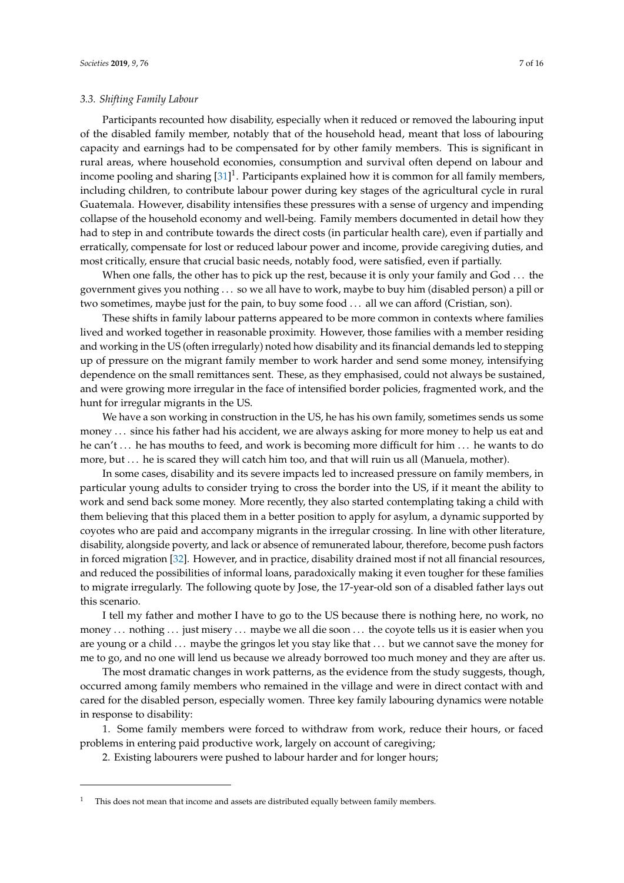#### *3.3. Shifting Family Labour*

Participants recounted how disability, especially when it reduced or removed the labouring input of the disabled family member, notably that of the household head, meant that loss of labouring capacity and earnings had to be compensated for by other family members. This is significant in rural areas, where household economies, consumption and survival often depend on labour and income pooling and sharing  $[31]^1$  $[31]^1$ . Participants explained how it is common for all family members, including children, to contribute labour power during key stages of the agricultural cycle in rural Guatemala. However, disability intensifies these pressures with a sense of urgency and impending collapse of the household economy and well-being. Family members documented in detail how they had to step in and contribute towards the direct costs (in particular health care), even if partially and erratically, compensate for lost or reduced labour power and income, provide caregiving duties, and most critically, ensure that crucial basic needs, notably food, were satisfied, even if partially.

When one falls, the other has to pick up the rest, because it is only your family and God ... the government gives you nothing . . . so we all have to work, maybe to buy him (disabled person) a pill or two sometimes, maybe just for the pain, to buy some food . . . all we can afford (Cristian, son).

These shifts in family labour patterns appeared to be more common in contexts where families lived and worked together in reasonable proximity. However, those families with a member residing and working in the US (often irregularly) noted how disability and its financial demands led to stepping up of pressure on the migrant family member to work harder and send some money, intensifying dependence on the small remittances sent. These, as they emphasised, could not always be sustained, and were growing more irregular in the face of intensified border policies, fragmented work, and the hunt for irregular migrants in the US.

We have a son working in construction in the US, he has his own family, sometimes sends us some money . . . since his father had his accident, we are always asking for more money to help us eat and he can't . . . he has mouths to feed, and work is becoming more difficult for him . . . he wants to do more, but . . . he is scared they will catch him too, and that will ruin us all (Manuela, mother).

In some cases, disability and its severe impacts led to increased pressure on family members, in particular young adults to consider trying to cross the border into the US, if it meant the ability to work and send back some money. More recently, they also started contemplating taking a child with them believing that this placed them in a better position to apply for asylum, a dynamic supported by coyotes who are paid and accompany migrants in the irregular crossing. In line with other literature, disability, alongside poverty, and lack or absence of remunerated labour, therefore, become push factors in forced migration [\[32\]](#page-14-14). However, and in practice, disability drained most if not all financial resources, and reduced the possibilities of informal loans, paradoxically making it even tougher for these families to migrate irregularly. The following quote by Jose, the 17-year-old son of a disabled father lays out this scenario.

I tell my father and mother I have to go to the US because there is nothing here, no work, no money ... nothing ... just misery ... maybe we all die soon ... the coyote tells us it is easier when you are young or a child . . . maybe the gringos let you stay like that . . . but we cannot save the money for me to go, and no one will lend us because we already borrowed too much money and they are after us.

The most dramatic changes in work patterns, as the evidence from the study suggests, though, occurred among family members who remained in the village and were in direct contact with and cared for the disabled person, especially women. Three key family labouring dynamics were notable in response to disability:

1. Some family members were forced to withdraw from work, reduce their hours, or faced problems in entering paid productive work, largely on account of caregiving;

2. Existing labourers were pushed to labour harder and for longer hours;

<sup>1</sup> This does not mean that income and assets are distributed equally between family members.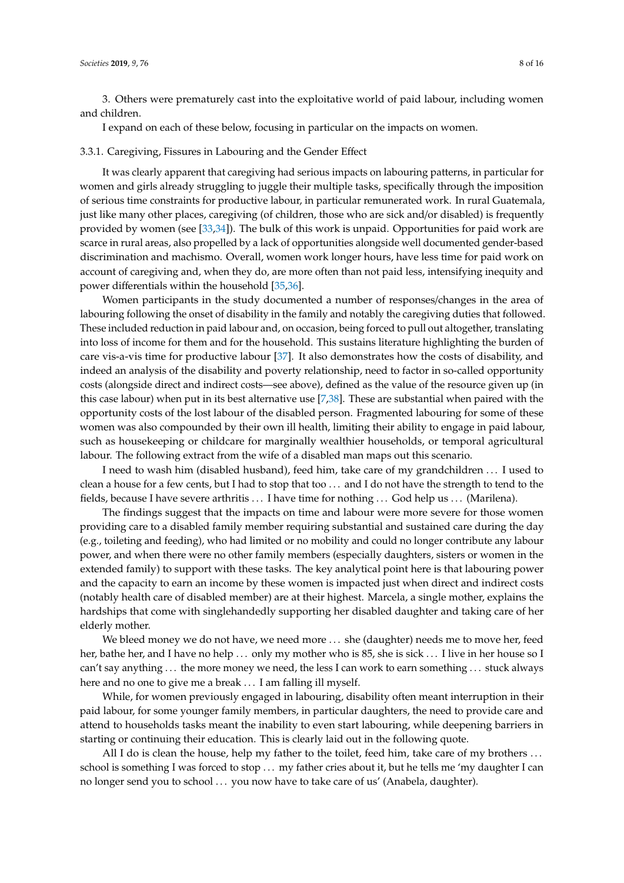3. Others were prematurely cast into the exploitative world of paid labour, including women and children.

I expand on each of these below, focusing in particular on the impacts on women.

#### 3.3.1. Caregiving, Fissures in Labouring and the Gender Effect

It was clearly apparent that caregiving had serious impacts on labouring patterns, in particular for women and girls already struggling to juggle their multiple tasks, specifically through the imposition of serious time constraints for productive labour, in particular remunerated work. In rural Guatemala, just like many other places, caregiving (of children, those who are sick and/or disabled) is frequently provided by women (see [\[33,](#page-14-15)[34\]](#page-14-16)). The bulk of this work is unpaid. Opportunities for paid work are scarce in rural areas, also propelled by a lack of opportunities alongside well documented gender-based discrimination and machismo. Overall, women work longer hours, have less time for paid work on account of caregiving and, when they do, are more often than not paid less, intensifying inequity and power differentials within the household [\[35,](#page-14-17)[36\]](#page-14-18).

Women participants in the study documented a number of responses/changes in the area of labouring following the onset of disability in the family and notably the caregiving duties that followed. These included reduction in paid labour and, on occasion, being forced to pull out altogether, translating into loss of income for them and for the household. This sustains literature highlighting the burden of care vis-a-vis time for productive labour [\[37\]](#page-14-19). It also demonstrates how the costs of disability, and indeed an analysis of the disability and poverty relationship, need to factor in so-called opportunity costs (alongside direct and indirect costs—see above), defined as the value of the resource given up (in this case labour) when put in its best alternative use [\[7,](#page-13-5)[38\]](#page-14-20). These are substantial when paired with the opportunity costs of the lost labour of the disabled person. Fragmented labouring for some of these women was also compounded by their own ill health, limiting their ability to engage in paid labour, such as housekeeping or childcare for marginally wealthier households, or temporal agricultural labour. The following extract from the wife of a disabled man maps out this scenario.

I need to wash him (disabled husband), feed him, take care of my grandchildren . . . I used to clean a house for a few cents, but I had to stop that too . . . and I do not have the strength to tend to the fields, because I have severe arthritis . . . I have time for nothing . . . God help us . . . (Marilena).

The findings suggest that the impacts on time and labour were more severe for those women providing care to a disabled family member requiring substantial and sustained care during the day (e.g., toileting and feeding), who had limited or no mobility and could no longer contribute any labour power, and when there were no other family members (especially daughters, sisters or women in the extended family) to support with these tasks. The key analytical point here is that labouring power and the capacity to earn an income by these women is impacted just when direct and indirect costs (notably health care of disabled member) are at their highest. Marcela, a single mother, explains the hardships that come with singlehandedly supporting her disabled daughter and taking care of her elderly mother.

We bleed money we do not have, we need more ... she (daughter) needs me to move her, feed her, bathe her, and I have no help ... only my mother who is 85, she is sick ... I live in her house so I can't say anything . . . the more money we need, the less I can work to earn something . . . stuck always here and no one to give me a break . . . I am falling ill myself.

While, for women previously engaged in labouring, disability often meant interruption in their paid labour, for some younger family members, in particular daughters, the need to provide care and attend to households tasks meant the inability to even start labouring, while deepening barriers in starting or continuing their education. This is clearly laid out in the following quote.

All I do is clean the house, help my father to the toilet, feed him, take care of my brothers ... school is something I was forced to stop . . . my father cries about it, but he tells me 'my daughter I can no longer send you to school . . . you now have to take care of us' (Anabela, daughter).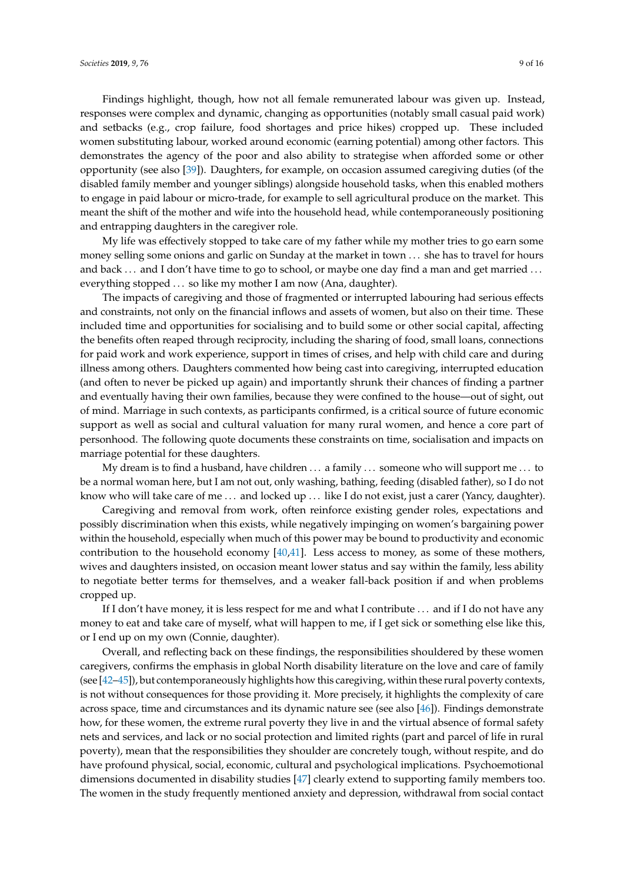Findings highlight, though, how not all female remunerated labour was given up. Instead, responses were complex and dynamic, changing as opportunities (notably small casual paid work) and setbacks (e.g., crop failure, food shortages and price hikes) cropped up. These included women substituting labour, worked around economic (earning potential) among other factors. This demonstrates the agency of the poor and also ability to strategise when afforded some or other opportunity (see also [\[39\]](#page-14-21)). Daughters, for example, on occasion assumed caregiving duties (of the disabled family member and younger siblings) alongside household tasks, when this enabled mothers to engage in paid labour or micro-trade, for example to sell agricultural produce on the market. This meant the shift of the mother and wife into the household head, while contemporaneously positioning and entrapping daughters in the caregiver role.

My life was effectively stopped to take care of my father while my mother tries to go earn some money selling some onions and garlic on Sunday at the market in town . . . she has to travel for hours and back ... and I don't have time to go to school, or maybe one day find a man and get married ... everything stopped . . . so like my mother I am now (Ana, daughter).

The impacts of caregiving and those of fragmented or interrupted labouring had serious effects and constraints, not only on the financial inflows and assets of women, but also on their time. These included time and opportunities for socialising and to build some or other social capital, affecting the benefits often reaped through reciprocity, including the sharing of food, small loans, connections for paid work and work experience, support in times of crises, and help with child care and during illness among others. Daughters commented how being cast into caregiving, interrupted education (and often to never be picked up again) and importantly shrunk their chances of finding a partner and eventually having their own families, because they were confined to the house—out of sight, out of mind. Marriage in such contexts, as participants confirmed, is a critical source of future economic support as well as social and cultural valuation for many rural women, and hence a core part of personhood. The following quote documents these constraints on time, socialisation and impacts on marriage potential for these daughters.

My dream is to find a husband, have children . . . a family . . . someone who will support me . . . to be a normal woman here, but I am not out, only washing, bathing, feeding (disabled father), so I do not know who will take care of me . . . and locked up . . . like I do not exist, just a carer (Yancy, daughter).

Caregiving and removal from work, often reinforce existing gender roles, expectations and possibly discrimination when this exists, while negatively impinging on women's bargaining power within the household, especially when much of this power may be bound to productivity and economic contribution to the household economy [\[40,](#page-14-22)[41\]](#page-14-23). Less access to money, as some of these mothers, wives and daughters insisted, on occasion meant lower status and say within the family, less ability to negotiate better terms for themselves, and a weaker fall-back position if and when problems cropped up.

If I don't have money, it is less respect for me and what I contribute . . . and if I do not have any money to eat and take care of myself, what will happen to me, if I get sick or something else like this, or I end up on my own (Connie, daughter).

Overall, and reflecting back on these findings, the responsibilities shouldered by these women caregivers, confirms the emphasis in global North disability literature on the love and care of family (see [\[42–](#page-14-24)[45\]](#page-14-25)), but contemporaneously highlights how this caregiving, within these rural poverty contexts, is not without consequences for those providing it. More precisely, it highlights the complexity of care across space, time and circumstances and its dynamic nature see (see also [\[46\]](#page-15-0)). Findings demonstrate how, for these women, the extreme rural poverty they live in and the virtual absence of formal safety nets and services, and lack or no social protection and limited rights (part and parcel of life in rural poverty), mean that the responsibilities they shoulder are concretely tough, without respite, and do have profound physical, social, economic, cultural and psychological implications. Psychoemotional dimensions documented in disability studies [\[47\]](#page-15-1) clearly extend to supporting family members too. The women in the study frequently mentioned anxiety and depression, withdrawal from social contact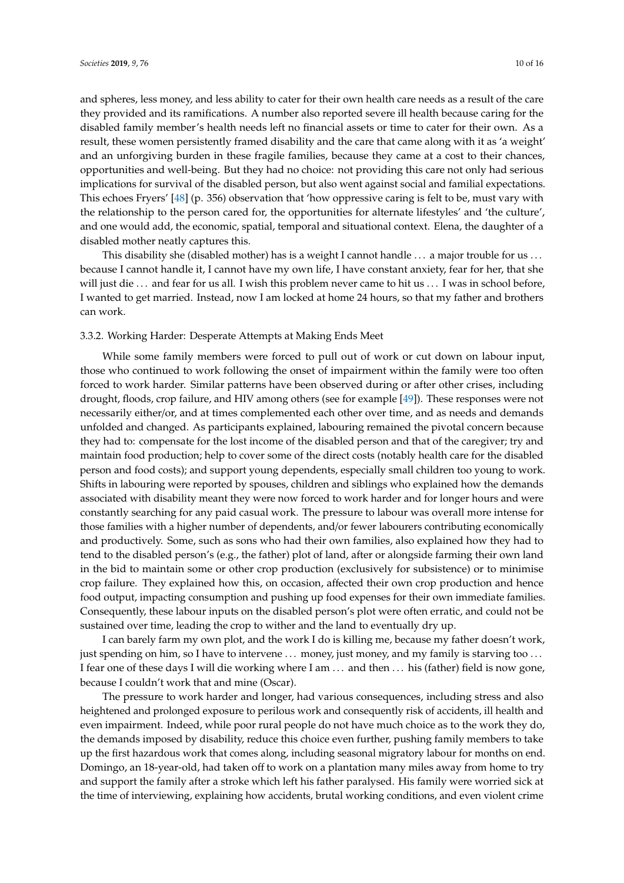and spheres, less money, and less ability to cater for their own health care needs as a result of the care they provided and its ramifications. A number also reported severe ill health because caring for the disabled family member's health needs left no financial assets or time to cater for their own. As a result, these women persistently framed disability and the care that came along with it as 'a weight' and an unforgiving burden in these fragile families, because they came at a cost to their chances, opportunities and well-being. But they had no choice: not providing this care not only had serious implications for survival of the disabled person, but also went against social and familial expectations. This echoes Fryers' [\[48\]](#page-15-2) (p. 356) observation that 'how oppressive caring is felt to be, must vary with the relationship to the person cared for, the opportunities for alternate lifestyles' and 'the culture', and one would add, the economic, spatial, temporal and situational context. Elena, the daughter of a disabled mother neatly captures this.

This disability she (disabled mother) has is a weight I cannot handle . . . a major trouble for us . . . because I cannot handle it, I cannot have my own life, I have constant anxiety, fear for her, that she will just die ... and fear for us all. I wish this problem never came to hit us ... I was in school before, I wanted to get married. Instead, now I am locked at home 24 hours, so that my father and brothers can work.

## 3.3.2. Working Harder: Desperate Attempts at Making Ends Meet

While some family members were forced to pull out of work or cut down on labour input, those who continued to work following the onset of impairment within the family were too often forced to work harder. Similar patterns have been observed during or after other crises, including drought, floods, crop failure, and HIV among others (see for example [\[49\]](#page-15-3)). These responses were not necessarily either/or, and at times complemented each other over time, and as needs and demands unfolded and changed. As participants explained, labouring remained the pivotal concern because they had to: compensate for the lost income of the disabled person and that of the caregiver; try and maintain food production; help to cover some of the direct costs (notably health care for the disabled person and food costs); and support young dependents, especially small children too young to work. Shifts in labouring were reported by spouses, children and siblings who explained how the demands associated with disability meant they were now forced to work harder and for longer hours and were constantly searching for any paid casual work. The pressure to labour was overall more intense for those families with a higher number of dependents, and/or fewer labourers contributing economically and productively. Some, such as sons who had their own families, also explained how they had to tend to the disabled person's (e.g., the father) plot of land, after or alongside farming their own land in the bid to maintain some or other crop production (exclusively for subsistence) or to minimise crop failure. They explained how this, on occasion, affected their own crop production and hence food output, impacting consumption and pushing up food expenses for their own immediate families. Consequently, these labour inputs on the disabled person's plot were often erratic, and could not be sustained over time, leading the crop to wither and the land to eventually dry up.

I can barely farm my own plot, and the work I do is killing me, because my father doesn't work, just spending on him, so I have to intervene ... money, just money, and my family is starving too ... I fear one of these days I will die working where I am . . . and then . . . his (father) field is now gone, because I couldn't work that and mine (Oscar).

The pressure to work harder and longer, had various consequences, including stress and also heightened and prolonged exposure to perilous work and consequently risk of accidents, ill health and even impairment. Indeed, while poor rural people do not have much choice as to the work they do, the demands imposed by disability, reduce this choice even further, pushing family members to take up the first hazardous work that comes along, including seasonal migratory labour for months on end. Domingo, an 18-year-old, had taken off to work on a plantation many miles away from home to try and support the family after a stroke which left his father paralysed. His family were worried sick at the time of interviewing, explaining how accidents, brutal working conditions, and even violent crime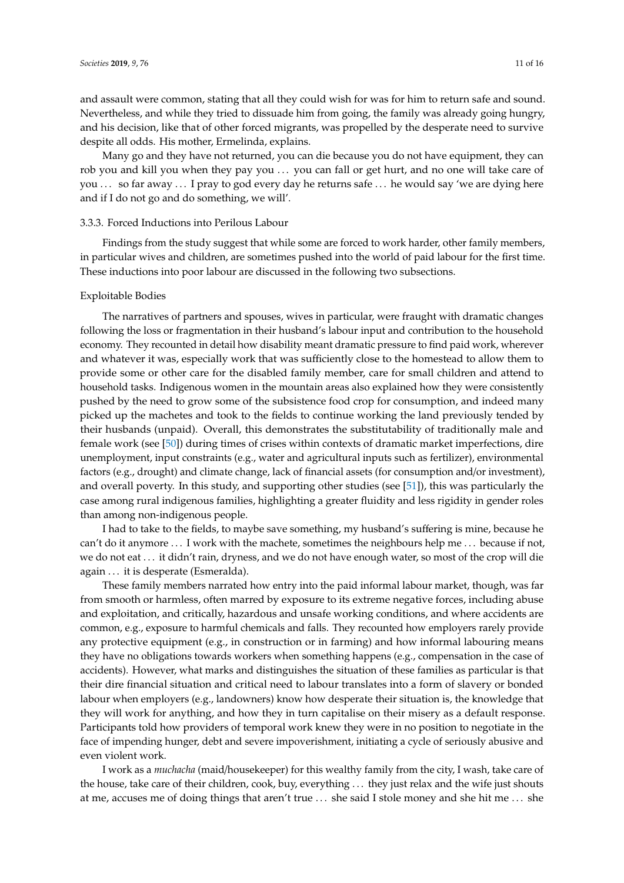and assault were common, stating that all they could wish for was for him to return safe and sound. Nevertheless, and while they tried to dissuade him from going, the family was already going hungry, and his decision, like that of other forced migrants, was propelled by the desperate need to survive despite all odds. His mother, Ermelinda, explains.

Many go and they have not returned, you can die because you do not have equipment, they can rob you and kill you when they pay you ... you can fall or get hurt, and no one will take care of you ... so far away ... I pray to god every day he returns safe ... he would say 'we are dying here and if I do not go and do something, we will'.

## 3.3.3. Forced Inductions into Perilous Labour

Findings from the study suggest that while some are forced to work harder, other family members, in particular wives and children, are sometimes pushed into the world of paid labour for the first time. These inductions into poor labour are discussed in the following two subsections.

### Exploitable Bodies

The narratives of partners and spouses, wives in particular, were fraught with dramatic changes following the loss or fragmentation in their husband's labour input and contribution to the household economy. They recounted in detail how disability meant dramatic pressure to find paid work, wherever and whatever it was, especially work that was sufficiently close to the homestead to allow them to provide some or other care for the disabled family member, care for small children and attend to household tasks. Indigenous women in the mountain areas also explained how they were consistently pushed by the need to grow some of the subsistence food crop for consumption, and indeed many picked up the machetes and took to the fields to continue working the land previously tended by their husbands (unpaid). Overall, this demonstrates the substitutability of traditionally male and female work (see [\[50\]](#page-15-4)) during times of crises within contexts of dramatic market imperfections, dire unemployment, input constraints (e.g., water and agricultural inputs such as fertilizer), environmental factors (e.g., drought) and climate change, lack of financial assets (for consumption and/or investment), and overall poverty. In this study, and supporting other studies (see [\[51\]](#page-15-5)), this was particularly the case among rural indigenous families, highlighting a greater fluidity and less rigidity in gender roles than among non-indigenous people.

I had to take to the fields, to maybe save something, my husband's suffering is mine, because he can't do it anymore . . . I work with the machete, sometimes the neighbours help me . . . because if not, we do not eat . . . it didn't rain, dryness, and we do not have enough water, so most of the crop will die again ... it is desperate (Esmeralda).

These family members narrated how entry into the paid informal labour market, though, was far from smooth or harmless, often marred by exposure to its extreme negative forces, including abuse and exploitation, and critically, hazardous and unsafe working conditions, and where accidents are common, e.g., exposure to harmful chemicals and falls. They recounted how employers rarely provide any protective equipment (e.g., in construction or in farming) and how informal labouring means they have no obligations towards workers when something happens (e.g., compensation in the case of accidents). However, what marks and distinguishes the situation of these families as particular is that their dire financial situation and critical need to labour translates into a form of slavery or bonded labour when employers (e.g., landowners) know how desperate their situation is, the knowledge that they will work for anything, and how they in turn capitalise on their misery as a default response. Participants told how providers of temporal work knew they were in no position to negotiate in the face of impending hunger, debt and severe impoverishment, initiating a cycle of seriously abusive and even violent work.

I work as a *muchacha* (maid/housekeeper) for this wealthy family from the city, I wash, take care of the house, take care of their children, cook, buy, everything . . . they just relax and the wife just shouts at me, accuses me of doing things that aren't true . . . she said I stole money and she hit me . . . she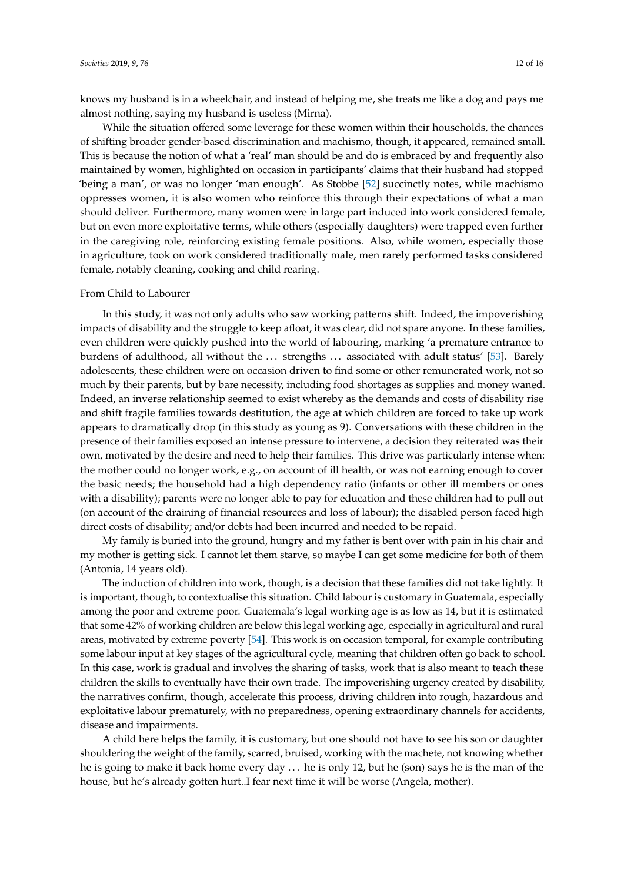knows my husband is in a wheelchair, and instead of helping me, she treats me like a dog and pays me almost nothing, saying my husband is useless (Mirna).

While the situation offered some leverage for these women within their households, the chances of shifting broader gender-based discrimination and machismo, though, it appeared, remained small. This is because the notion of what a 'real' man should be and do is embraced by and frequently also maintained by women, highlighted on occasion in participants' claims that their husband had stopped 'being a man', or was no longer 'man enough'. As Stobbe [\[52\]](#page-15-6) succinctly notes, while machismo oppresses women, it is also women who reinforce this through their expectations of what a man should deliver. Furthermore, many women were in large part induced into work considered female, but on even more exploitative terms, while others (especially daughters) were trapped even further in the caregiving role, reinforcing existing female positions. Also, while women, especially those in agriculture, took on work considered traditionally male, men rarely performed tasks considered female, notably cleaning, cooking and child rearing.

### From Child to Labourer

In this study, it was not only adults who saw working patterns shift. Indeed, the impoverishing impacts of disability and the struggle to keep afloat, it was clear, did not spare anyone. In these families, even children were quickly pushed into the world of labouring, marking 'a premature entrance to burdens of adulthood, all without the ... strengths ... associated with adult status' [\[53\]](#page-15-7). Barely adolescents, these children were on occasion driven to find some or other remunerated work, not so much by their parents, but by bare necessity, including food shortages as supplies and money waned. Indeed, an inverse relationship seemed to exist whereby as the demands and costs of disability rise and shift fragile families towards destitution, the age at which children are forced to take up work appears to dramatically drop (in this study as young as 9). Conversations with these children in the presence of their families exposed an intense pressure to intervene, a decision they reiterated was their own, motivated by the desire and need to help their families. This drive was particularly intense when: the mother could no longer work, e.g., on account of ill health, or was not earning enough to cover the basic needs; the household had a high dependency ratio (infants or other ill members or ones with a disability); parents were no longer able to pay for education and these children had to pull out (on account of the draining of financial resources and loss of labour); the disabled person faced high direct costs of disability; and/or debts had been incurred and needed to be repaid.

My family is buried into the ground, hungry and my father is bent over with pain in his chair and my mother is getting sick. I cannot let them starve, so maybe I can get some medicine for both of them (Antonia, 14 years old).

The induction of children into work, though, is a decision that these families did not take lightly. It is important, though, to contextualise this situation. Child labour is customary in Guatemala, especially among the poor and extreme poor. Guatemala's legal working age is as low as 14, but it is estimated that some 42% of working children are below this legal working age, especially in agricultural and rural areas, motivated by extreme poverty [\[54\]](#page-15-8). This work is on occasion temporal, for example contributing some labour input at key stages of the agricultural cycle, meaning that children often go back to school. In this case, work is gradual and involves the sharing of tasks, work that is also meant to teach these children the skills to eventually have their own trade. The impoverishing urgency created by disability, the narratives confirm, though, accelerate this process, driving children into rough, hazardous and exploitative labour prematurely, with no preparedness, opening extraordinary channels for accidents, disease and impairments.

A child here helps the family, it is customary, but one should not have to see his son or daughter shouldering the weight of the family, scarred, bruised, working with the machete, not knowing whether he is going to make it back home every day . . . he is only 12, but he (son) says he is the man of the house, but he's already gotten hurt..I fear next time it will be worse (Angela, mother).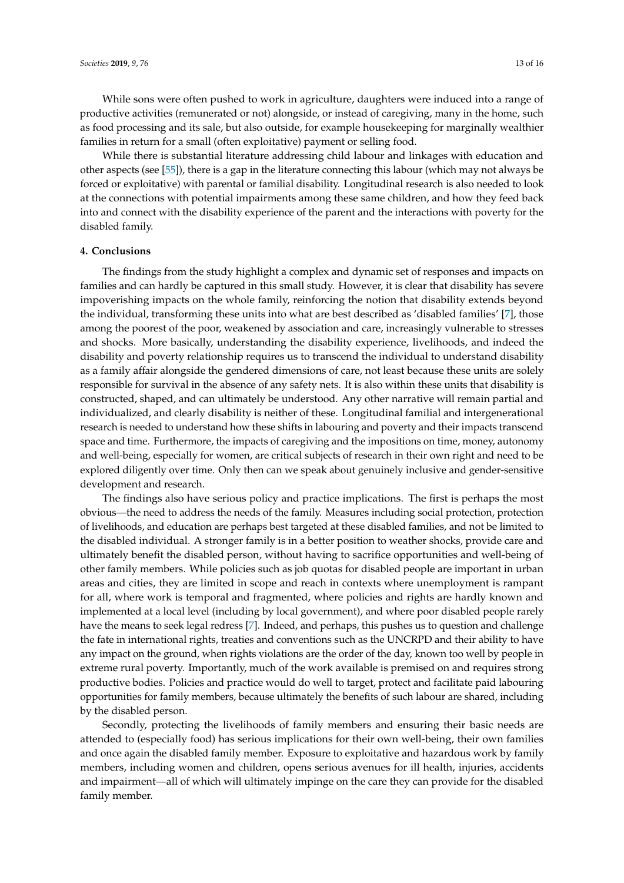While sons were often pushed to work in agriculture, daughters were induced into a range of productive activities (remunerated or not) alongside, or instead of caregiving, many in the home, such as food processing and its sale, but also outside, for example housekeeping for marginally wealthier families in return for a small (often exploitative) payment or selling food.

While there is substantial literature addressing child labour and linkages with education and other aspects (see [\[55\]](#page-15-9)), there is a gap in the literature connecting this labour (which may not always be forced or exploitative) with parental or familial disability. Longitudinal research is also needed to look at the connections with potential impairments among these same children, and how they feed back into and connect with the disability experience of the parent and the interactions with poverty for the disabled family.

#### **4. Conclusions**

The findings from the study highlight a complex and dynamic set of responses and impacts on families and can hardly be captured in this small study. However, it is clear that disability has severe impoverishing impacts on the whole family, reinforcing the notion that disability extends beyond the individual, transforming these units into what are best described as 'disabled families' [\[7\]](#page-13-5), those among the poorest of the poor, weakened by association and care, increasingly vulnerable to stresses and shocks. More basically, understanding the disability experience, livelihoods, and indeed the disability and poverty relationship requires us to transcend the individual to understand disability as a family affair alongside the gendered dimensions of care, not least because these units are solely responsible for survival in the absence of any safety nets. It is also within these units that disability is constructed, shaped, and can ultimately be understood. Any other narrative will remain partial and individualized, and clearly disability is neither of these. Longitudinal familial and intergenerational research is needed to understand how these shifts in labouring and poverty and their impacts transcend space and time. Furthermore, the impacts of caregiving and the impositions on time, money, autonomy and well-being, especially for women, are critical subjects of research in their own right and need to be explored diligently over time. Only then can we speak about genuinely inclusive and gender-sensitive development and research.

The findings also have serious policy and practice implications. The first is perhaps the most obvious—the need to address the needs of the family. Measures including social protection, protection of livelihoods, and education are perhaps best targeted at these disabled families, and not be limited to the disabled individual. A stronger family is in a better position to weather shocks, provide care and ultimately benefit the disabled person, without having to sacrifice opportunities and well-being of other family members. While policies such as job quotas for disabled people are important in urban areas and cities, they are limited in scope and reach in contexts where unemployment is rampant for all, where work is temporal and fragmented, where policies and rights are hardly known and implemented at a local level (including by local government), and where poor disabled people rarely have the means to seek legal redress [\[7\]](#page-13-5). Indeed, and perhaps, this pushes us to question and challenge the fate in international rights, treaties and conventions such as the UNCRPD and their ability to have any impact on the ground, when rights violations are the order of the day, known too well by people in extreme rural poverty. Importantly, much of the work available is premised on and requires strong productive bodies. Policies and practice would do well to target, protect and facilitate paid labouring opportunities for family members, because ultimately the benefits of such labour are shared, including by the disabled person.

Secondly, protecting the livelihoods of family members and ensuring their basic needs are attended to (especially food) has serious implications for their own well-being, their own families and once again the disabled family member. Exposure to exploitative and hazardous work by family members, including women and children, opens serious avenues for ill health, injuries, accidents and impairment—all of which will ultimately impinge on the care they can provide for the disabled family member.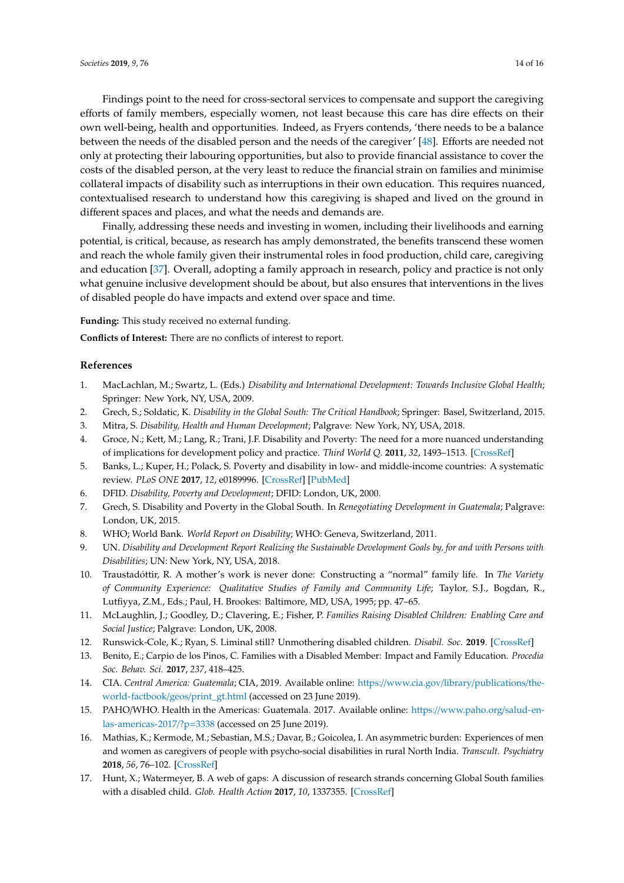own well-being, health and opportunities. Indeed, as Fryers contends, 'there needs to be a balance between the needs of the disabled person and the needs of the caregiver' [\[48\]](#page-15-2). Efforts are needed not only at protecting their labouring opportunities, but also to provide financial assistance to cover the costs of the disabled person, at the very least to reduce the financial strain on families and minimise collateral impacts of disability such as interruptions in their own education. This requires nuanced, contextualised research to understand how this caregiving is shaped and lived on the ground in different spaces and places, and what the needs and demands are.

Finally, addressing these needs and investing in women, including their livelihoods and earning potential, is critical, because, as research has amply demonstrated, the benefits transcend these women and reach the whole family given their instrumental roles in food production, child care, caregiving and education [\[37\]](#page-14-19). Overall, adopting a family approach in research, policy and practice is not only what genuine inclusive development should be about, but also ensures that interventions in the lives of disabled people do have impacts and extend over space and time.

**Funding:** This study received no external funding.

**Conflicts of Interest:** There are no conflicts of interest to report.

## **References**

- <span id="page-13-0"></span>1. MacLachlan, M.; Swartz, L. (Eds.) *Disability and International Development: Towards Inclusive Global Health*; Springer: New York, NY, USA, 2009.
- 2. Grech, S.; Soldatic, K. *Disability in the Global South: The Critical Handbook*; Springer: Basel, Switzerland, 2015.
- <span id="page-13-1"></span>3. Mitra, S. *Disability, Health and Human Development*; Palgrave: New York, NY, USA, 2018.
- <span id="page-13-2"></span>4. Groce, N.; Kett, M.; Lang, R.; Trani, J.F. Disability and Poverty: The need for a more nuanced understanding of implications for development policy and practice. *Third World Q.* **2011**, *32*, 1493–1513. [\[CrossRef\]](http://dx.doi.org/10.1080/01436597.2011.604520)
- <span id="page-13-3"></span>5. Banks, L.; Kuper, H.; Polack, S. Poverty and disability in low- and middle-income countries: A systematic review. *PLoS ONE* **2017**, *12*, e0189996. [\[CrossRef\]](http://dx.doi.org/10.1371/journal.pone.0189996) [\[PubMed\]](http://www.ncbi.nlm.nih.gov/pubmed/29267388)
- <span id="page-13-4"></span>6. DFID. *Disability, Poverty and Development*; DFID: London, UK, 2000.
- <span id="page-13-5"></span>7. Grech, S. Disability and Poverty in the Global South. In *Renegotiating Development in Guatemala*; Palgrave: London, UK, 2015.
- <span id="page-13-6"></span>8. WHO; World Bank. *World Report on Disability*; WHO: Geneva, Switzerland, 2011.
- <span id="page-13-7"></span>9. UN. *Disability and Development Report Realizing the Sustainable Development Goals by, for and with Persons with Disabilities*; UN: New York, NY, USA, 2018.
- <span id="page-13-8"></span>10. Traustadóttir, R. A mother's work is never done: Constructing a "normal" family life. In *The Variety of Community Experience: Qualitative Studies of Family and Community Life*; Taylor, S.J., Bogdan, R., Lutfiyya, Z.M., Eds.; Paul, H. Brookes: Baltimore, MD, USA, 1995; pp. 47–65.
- 11. McLaughlin, J.; Goodley, D.; Clavering, E.; Fisher, P. *Families Raising Disabled Children: Enabling Care and Social Justice*; Palgrave: London, UK, 2008.
- 12. Runswick-Cole, K.; Ryan, S. Liminal still? Unmothering disabled children. *Disabil. Soc.* **2019**. [\[CrossRef\]](http://dx.doi.org/10.1080/09687599.2019.1602509)
- <span id="page-13-9"></span>13. Benito, E.; Carpio de los Pinos, C. Families with a Disabled Member: Impact and Family Education. *Procedia Soc. Behav. Sci.* **2017**, *237*, 418–425.
- <span id="page-13-10"></span>14. CIA. *Central America: Guatemala*; CIA, 2019. Available online: https://[www.cia.gov](https://www.cia.gov/library/publications/the-world-factbook/geos/print_gt.html)/library/publications/the[world-factbook](https://www.cia.gov/library/publications/the-world-factbook/geos/print_gt.html)/geos/print\_gt.html (accessed on 23 June 2019).
- <span id="page-13-11"></span>15. PAHO/WHO. Health in the Americas: Guatemala. 2017. Available online: https://[www.paho.org](https://www.paho.org/salud-en-las-americas-2017/?p=3338)/salud-en[las-americas-2017](https://www.paho.org/salud-en-las-americas-2017/?p=3338)/?p=3338 (accessed on 25 June 2019).
- <span id="page-13-12"></span>16. Mathias, K.; Kermode, M.; Sebastian, M.S.; Davar, B.; Goicolea, I. An asymmetric burden: Experiences of men and women as caregivers of people with psycho-social disabilities in rural North India. *Transcult. Psychiatry* **2018**, *56*, 76–102. [\[CrossRef\]](http://dx.doi.org/10.1177/1363461518792728)
- <span id="page-13-13"></span>17. Hunt, X.; Watermeyer, B. A web of gaps: A discussion of research strands concerning Global South families with a disabled child. *Glob. Health Action* **2017**, *10*, 1337355. [\[CrossRef\]](http://dx.doi.org/10.1080/16549716.2017.1337355)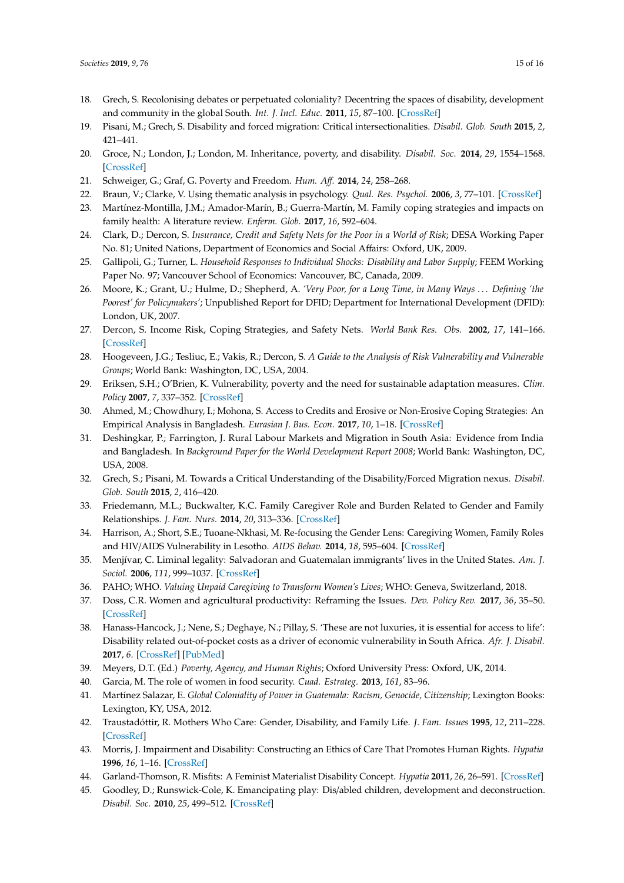- <span id="page-14-0"></span>18. Grech, S. Recolonising debates or perpetuated coloniality? Decentring the spaces of disability, development and community in the global South. *Int. J. Incl. Educ.* **2011**, *15*, 87–100. [\[CrossRef\]](http://dx.doi.org/10.1080/13603116.2010.496198)
- <span id="page-14-1"></span>19. Pisani, M.; Grech, S. Disability and forced migration: Critical intersectionalities. *Disabil. Glob. South* **2015**, *2*, 421–441.
- <span id="page-14-2"></span>20. Groce, N.; London, J.; London, M. Inheritance, poverty, and disability. *Disabil. Soc.* **2014**, *29*, 1554–1568. [\[CrossRef\]](http://dx.doi.org/10.1080/09687599.2014.969831)
- <span id="page-14-3"></span>21. Schweiger, G.; Graf, G. Poverty and Freedom. *Hum. A*ff*.* **2014**, *24*, 258–268.
- <span id="page-14-4"></span>22. Braun, V.; Clarke, V. Using thematic analysis in psychology. *Qual. Res. Psychol.* **2006**, *3*, 77–101. [\[CrossRef\]](http://dx.doi.org/10.1191/1478088706qp063oa)
- <span id="page-14-5"></span>23. Martínez-Montilla, J.M.; Amador-Marín, B.; Guerra-Martín, M. Family coping strategies and impacts on family health: A literature review. *Enferm. Glob.* **2017**, *16*, 592–604.
- <span id="page-14-6"></span>24. Clark, D.; Dercon, S. *Insurance, Credit and Safety Nets for the Poor in a World of Risk*; DESA Working Paper No. 81; United Nations, Department of Economics and Social Affairs: Oxford, UK, 2009.
- <span id="page-14-7"></span>25. Gallipoli, G.; Turner, L. *Household Responses to Individual Shocks: Disability and Labor Supply*; FEEM Working Paper No. 97; Vancouver School of Economics: Vancouver, BC, Canada, 2009.
- <span id="page-14-8"></span>26. Moore, K.; Grant, U.; Hulme, D.; Shepherd, A. *'Very Poor, for a Long Time, in Many Ways* . . . *Defining 'the Poorest' for Policymakers'*; Unpublished Report for DFID; Department for International Development (DFID): London, UK, 2007.
- <span id="page-14-9"></span>27. Dercon, S. Income Risk, Coping Strategies, and Safety Nets. *World Bank Res. Obs.* **2002**, *17*, 141–166. [\[CrossRef\]](http://dx.doi.org/10.1093/wbro/17.2.141)
- <span id="page-14-10"></span>28. Hoogeveen, J.G.; Tesliuc, E.; Vakis, R.; Dercon, S. *A Guide to the Analysis of Risk Vulnerability and Vulnerable Groups*; World Bank: Washington, DC, USA, 2004.
- <span id="page-14-11"></span>29. Eriksen, S.H.; O'Brien, K. Vulnerability, poverty and the need for sustainable adaptation measures. *Clim. Policy* **2007**, *7*, 337–352. [\[CrossRef\]](http://dx.doi.org/10.3763/cpol.2007.0717)
- <span id="page-14-12"></span>30. Ahmed, M.; Chowdhury, I.; Mohona, S. Access to Credits and Erosive or Non-Erosive Coping Strategies: An Empirical Analysis in Bangladesh. *Eurasian J. Bus. Econ.* **2017**, *10*, 1–18. [\[CrossRef\]](http://dx.doi.org/10.17015/ejbe.2017.019.01)
- <span id="page-14-13"></span>31. Deshingkar, P.; Farrington, J. Rural Labour Markets and Migration in South Asia: Evidence from India and Bangladesh. In *Background Paper for the World Development Report 2008*; World Bank: Washington, DC, USA, 2008.
- <span id="page-14-14"></span>32. Grech, S.; Pisani, M. Towards a Critical Understanding of the Disability/Forced Migration nexus. *Disabil. Glob. South* **2015**, *2*, 416–420.
- <span id="page-14-15"></span>33. Friedemann, M.L.; Buckwalter, K.C. Family Caregiver Role and Burden Related to Gender and Family Relationships. *J. Fam. Nurs.* **2014**, *20*, 313–336. [\[CrossRef\]](http://dx.doi.org/10.1177/1074840714532715)
- <span id="page-14-16"></span>34. Harrison, A.; Short, S.E.; Tuoane-Nkhasi, M. Re-focusing the Gender Lens: Caregiving Women, Family Roles and HIV/AIDS Vulnerability in Lesotho. *AIDS Behav.* **2014**, *18*, 595–604. [\[CrossRef\]](http://dx.doi.org/10.1007/s10461-013-0515-z)
- <span id="page-14-17"></span>35. Menjívar, C. Liminal legality: Salvadoran and Guatemalan immigrants' lives in the United States. *Am. J. Sociol.* **2006**, *111*, 999–1037. [\[CrossRef\]](http://dx.doi.org/10.1086/499509)
- <span id="page-14-18"></span>36. PAHO; WHO. *Valuing Unpaid Caregiving to Transform Women's Lives*; WHO: Geneva, Switzerland, 2018.
- <span id="page-14-19"></span>37. Doss, C.R. Women and agricultural productivity: Reframing the Issues. *Dev. Policy Rev.* **2017**, *36*, 35–50. [\[CrossRef\]](http://dx.doi.org/10.1111/dpr.12243)
- <span id="page-14-20"></span>38. Hanass-Hancock, J.; Nene, S.; Deghaye, N.; Pillay, S. 'These are not luxuries, it is essential for access to life': Disability related out-of-pocket costs as a driver of economic vulnerability in South Africa. *Afr. J. Disabil.* **2017**, *6*. [\[CrossRef\]](http://dx.doi.org/10.4102/ajod.v6i0.280) [\[PubMed\]](http://www.ncbi.nlm.nih.gov/pubmed/28730066)
- <span id="page-14-21"></span>39. Meyers, D.T. (Ed.) *Poverty, Agency, and Human Rights*; Oxford University Press: Oxford, UK, 2014.
- <span id="page-14-22"></span>40. Garcia, M. The role of women in food security. *Cuad. Estrateg.* **2013**, *161*, 83–96.
- <span id="page-14-23"></span>41. Martínez Salazar, E. *Global Coloniality of Power in Guatemala: Racism, Genocide, Citizenship*; Lexington Books: Lexington, KY, USA, 2012.
- <span id="page-14-24"></span>42. Traustadóttir, R. Mothers Who Care: Gender, Disability, and Family Life. *J. Fam. Issues* **1995**, *12*, 211–228. [\[CrossRef\]](http://dx.doi.org/10.1177/019251391012002005)
- 43. Morris, J. Impairment and Disability: Constructing an Ethics of Care That Promotes Human Rights. *Hypatia* **1996**, *16*, 1–16. [\[CrossRef\]](http://dx.doi.org/10.1111/j.1527-2001.2001.tb00750.x)
- 44. Garland-Thomson, R. Misfits: A Feminist Materialist Disability Concept. *Hypatia* **2011**, *26*, 26–591. [\[CrossRef\]](http://dx.doi.org/10.1111/j.1527-2001.2011.01206.x)
- <span id="page-14-25"></span>45. Goodley, D.; Runswick-Cole, K. Emancipating play: Dis/abled children, development and deconstruction. *Disabil. Soc.* **2010**, *25*, 499–512. [\[CrossRef\]](http://dx.doi.org/10.1080/09687591003755914)